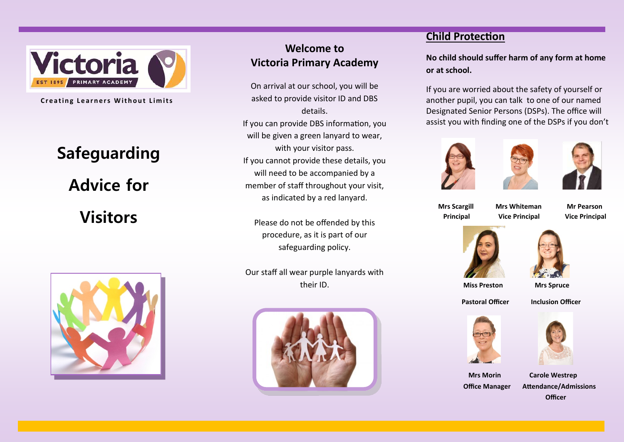

**Creating Learners Without Limits** 

# **Safeguarding Advice for Visitors**



## **Welcome to Victoria Primary Academy**

On arrival at our school, you will be asked to provide visitor ID and DBS details. If you can provide DBS information, you will be given a green lanyard to wear. with your visitor pass. If you cannot provide these details, you will need to be accompanied by a member of staff throughout your visit, as indicated by a red lanyard.

Please do not be offended by this procedure, as it is part of our safeguarding policy.

Our staff all wear purple lanyards with their ID.



## **Child Protection**

**No child should suffer harm of any form at home or at school.** 

If you are worried about the safety of yourself or another pupil, you can talk to one of our named Designated Senior Persons (DSPs). The office will assist you with finding one of the DSPs if you don't







 **Mrs Scargill Mrs Whiteman Mr Pearson Principal Vice Principal Vice Principal** 





 **Miss Preston Mrs Spruce**

**Pastoral Officer Inclusion Officer** 





 **Mrs Morin Carole Westrep Office Manager Attendance/Admissions Officer**